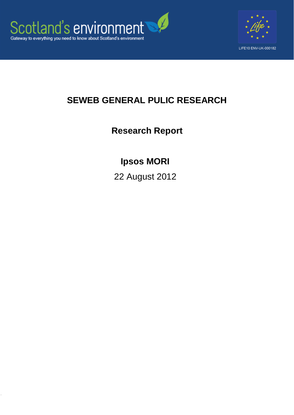



## **SEWEB GENERAL PULIC RESEARCH**

**Research Report**

## **Ipsos MORI**

22 August 2012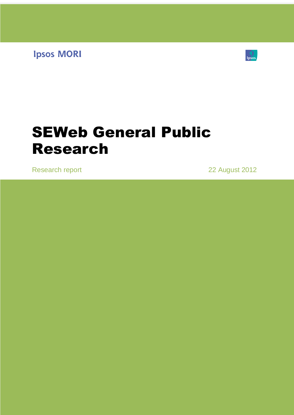**Ipsos MORI** 



# SEWeb General Public Research

Research report 22 August 2012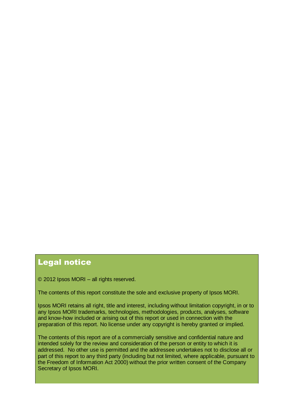## Legal notice

© 2012 Ipsos MORI – all rights reserved.

The contents of this report constitute the sole and exclusive property of Ipsos MORI.

Ipsos MORI retains all right, title and interest, including without limitation copyright, in or to any Ipsos MORI trademarks, technologies, methodologies, products, analyses, software and know-how included or arising out of this report or used in connection with the preparation of this report. No license under any copyright is hereby granted or implied.

The contents of this report are of a commercially sensitive and confidential nature and intended solely for the review and consideration of the person or entity to which it is addressed. No other use is permitted and the addressee undertakes not to disclose all or part of this report to any third party (including but not limited, where applicable, pursuant to the Freedom of Information Act 2000) without the prior written consent of the Company Secretary of Ipsos MORI.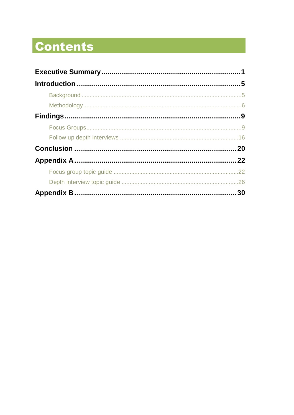# **Contents**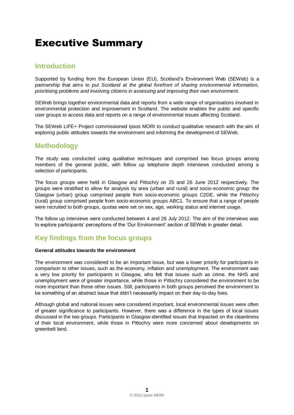## <span id="page-4-0"></span>Executive Summary

## **Introduction**

Supported by funding from the European Union (EU), Scotland"s Environment Web (SEWeb) is a partnership that aims to *put Scotland at the global forefront of sharing environmental information, prioritising problems and involving citizens in assessing and improving their own environment.*

SEWeb brings together environmental data and reports from a wide range of organisations involved in environmental protection and improvement in Scotland. The website enables the public and specific user groups to access data and reports on a range of environmental issues affecting Scotland.

The SEWeb LIFE+ Project commissioned Ipsos MORI to conduct qualitative research with the aim of exploring public attitudes towards the environment and informing the development of SEWeb.

### **Methodology**

The study was conducted using qualitative techniques and comprised two focus groups among members of the general public, with follow up telephone depth interviews conducted among a selection of participants.

The focus groups were held in Glasgow and Pitlochry on 25 and 26 June 2012 respectively. The groups were stratified to allow for analysis by area (urban and rural) and socio-economic group: the Glasgow (urban) group comprised people from socio-economic groups C2DE, while the Pitlochry (rural) group comprised people from socio-economic groups ABC1. To ensure that a range of people were recruited to both groups, quotas were set on sex, age, working status and internet usage.

The follow up interviews were conducted between 4 and 26 July 2012. The aim of the interviews was to explore participants" perceptions of the "Our Environment" section of SEWeb in greater detail.

## **Key findings from the focus groups**

#### **General attitudes towards the environment**

The environment was considered to be an important issue, but was a lower priority for participants in comparison to other issues, such as the economy, inflation and unemployment. The environment was a very low priority for participants in Glasgow, who felt that issues such as crime, the NHS and unemployment were of greater importance, while those in Pitlochry considered the environment to be more important than these other issues. Still, participants in both groups perceived the environment to be something of an abstract issue that didn't necessarily impact on their day-to-day lives.

Although global and national issues were considered important, local environmental issues were often of greater significance to participants. However, there was a difference in the types of local issues discussed in the two groups. Participants in Glasgow identified issues that impacted on the cleanliness of their local environment, while those in Pitlochry were more concerned about developments on greenbelt land.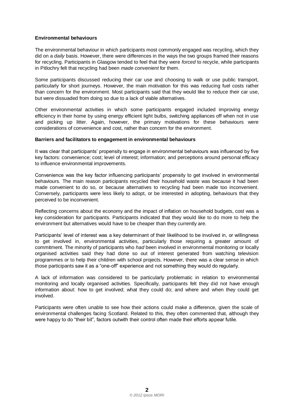#### **Environmental behaviours**

The environmental behaviour in which participants most commonly engaged was recycling, which they did on a *daily* basis. However, there were differences in the ways the two groups framed their reasons for recycling. Participants in Glasgow tended to feel that they were *forced* to recycle, while participants in Pitlochry felt that recycling had been *made convenient* for them.

Some participants discussed reducing their car use and choosing to walk or use public transport, particularly for short journeys. However, the main motivation for this was reducing fuel costs rather than concern for the environment. Most participants said that they would like to reduce their car use, but were dissuaded from doing so due to a lack of viable alternatives.

Other environmental activities in which some participants engaged included improving energy efficiency in their home by using energy efficient light bulbs, switching appliances off when not in use and picking up litter. Again, however, the primary motivations for these behaviours were considerations of convenience and cost, rather than concern for the environment.

#### **Barriers and facilitators to engagement in environmental behaviours**

It was clear that participants" propensity to engage in environmental behaviours was influenced by five key factors: convenience; cost; level of interest; information; and perceptions around personal efficacy to influence environmental improvements.

Convenience was the key factor influencing participants" propensity to get involved in environmental behaviours. The main reason participants recycled their household waste was because it had been made convenient to do so, or because alternatives to recycling had been made too inconvenient. Conversely, participants were less likely to adopt, or be interested in adopting, behaviours that they perceived to be inconvenient.

Reflecting concerns about the economy and the impact of inflation on household budgets, cost was a key consideration for participants. Participants indicated that they would like to do more to help the environment but alternatives would have to be cheaper than they currently are.

Participants' level of interest was a key determinant of their likelihood to be involved in, or willingness to get involved in, environmental activities, particularly those requiring a greater amount of commitment. The minority of participants who *had* been involved in environmental monitoring or locally organised activities said they had done so out of interest generated from watching television programmes or to help their children with school projects. However, there was a clear sense in which those participants saw it as a "one-off" experience and not something they would do regularly.

A lack of information was considered to be particularly problematic in relation to environmental monitoring and locally organised activities. Specifically, participants felt they did not have enough information about: how to get involved; what they could do; and where and when they could get involved.

Participants were often unable to see how their actions could make a difference, given the scale of environmental challenges facing Scotland. Related to this, they often commented that, although they were happy to do "their bit", factors outwith their control often made their efforts appear futile.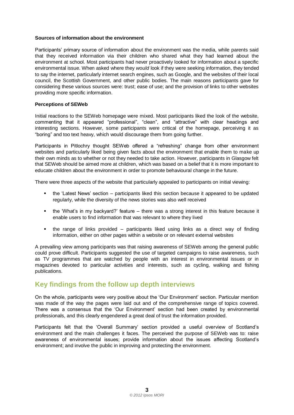#### **Sources of information about the environment**

Participants" primary source of information about the environment was the media, while parents said that they received information via their children who shared what they had learned about the environment at school. Most participants had never proactively looked for information about a specific environmental issue. When asked where they *would* look if they were seeking information, they tended to say the internet, particularly internet search engines, such as Google, and the websites of their local council, the Scottish Government, and other public bodies. The main reasons participants gave for considering these various sources were: trust; ease of use; and the provision of links to other websites providing more specific information.

#### **Perceptions of SEWeb**

Initial reactions to the SEWeb homepage were mixed. Most participants liked the look of the website, commenting that it appeared "professional", "clean", and "attractive" with clear headings and interesting sections. However, some participants were critical of the homepage, perceiving it as "boring" and too text heavy, which would discourage them from going further.

Participants in Pitlochry thought SEWeb offered a "refreshing" change from other environment websites and particularly liked being given facts about the environment that enable them to make up their own minds as to whether or not they needed to take action. However, participants in Glasgow felt that SEWeb should be aimed more at children, which was based on a belief that it is more important to educate children about the environment in order to promote behavioural change in the future.

There were three aspects of the website that particularly appealed to participants on initial viewing:

- the "Latest News" section participants liked this section because it appeared to be updated regularly, while the diversity of the news stories was also well received
- the "What"s in my backyard?" feature there was a strong interest in this feature because it enable users to find information that was relevant to where they lived
- the range of links provided participants liked using links as a direct way of finding information, either on other pages within a website or on relevant external websites

A prevailing view among participants was that raising awareness of SEWeb among the general public could prove difficult. Participants suggested the use of targeted campaigns to raise awareness, such as TV programmes that are watched by people with an interest in environmental issues or in magazines devoted to particular activities and interests, such as cycling, walking and fishing publications.

### **Key findings from the follow up depth interviews**

On the whole, participants were very positive about the "Our Environment" section. Particular mention was made of the way the pages were laid out and of the comprehensive range of topics covered. There was a consensus that the "Our Environment" section had been created by environmental professionals, and this clearly engendered a great deal of trust the information provided.

Participants felt that the 'Overall Summary' section provided a useful overview of Scotland's environment and the main challenges it faces. The perceived the purpose of SEWeb was to: raise awareness of environmental issues; provide information about the issues affecting Scotland"s environment; and involve the public in improving and protecting the environment.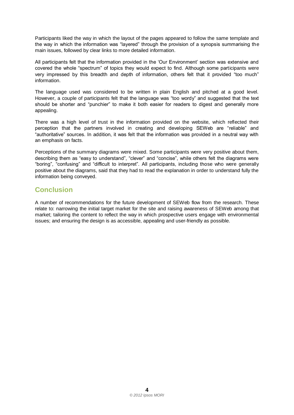Participants liked the way in which the layout of the pages appeared to follow the same template and the way in which the information was "layered" through the provision of a synopsis summarising the main issues, followed by clear links to more detailed information.

All participants felt that the information provided in the "Our Environment" section was extensive and covered the whole "spectrum" of topics they would expect to find. Although some participants were very impressed by this breadth and depth of information, others felt that it provided "too much" information.

The language used was considered to be written in plain English and pitched at a good level. However, a couple of participants felt that the language was "too wordy" and suggested that the text should be shorter and "punchier" to make it both easier for readers to digest and generally more appealing.

There was a high level of trust in the information provided on the website, which reflected their perception that the partners involved in creating and developing SEWeb are "reliable" and "authoritative" sources. In addition, it was felt that the information was provided in a neutral way with an emphasis on facts.

Perceptions of the summary diagrams were mixed. Some participants were very positive about them, describing them as "easy to understand", "clever" and "concise", while others felt the diagrams were "boring", "confusing" and "difficult to interpret". All participants, including those who were generally positive about the diagrams, said that they had to read the explanation in order to understand fully the information being conveyed.

## **Conclusion**

A number of recommendations for the future development of SEWeb flow from the research. These relate to: narrowing the initial target market for the site and raising awareness of SEWeb among that market; tailoring the content to reflect the way in which prospective users engage with environmental issues; and ensuring the design is as accessible, appealing and user-friendly as possible.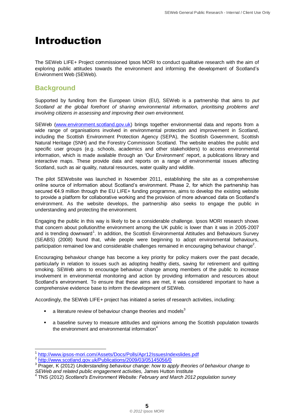## <span id="page-8-0"></span>Introduction

The SEWeb LIFE+ Project commissioned Ipsos MORI to conduct qualitative research with the aim of exploring public attitudes towards the environment and informing the development of Scotland"s Environment Web (SEWeb).

## <span id="page-8-1"></span>**Background**

Supported by funding from the European Union (EU), SEWeb is a partnership that aims to *put Scotland at the global forefront of sharing environmental information, prioritising problems and involving citizens in assessing and improving their own environment.*

SEWeb [\(www.environment.scotland.gov.uk\)](http://www.environment.scotland.gov.uk/) brings together environmental data and reports from a wide range of organisations involved in environmental protection and improvement in Scotland, including the Scottish Environment Protection Agency (SEPA), the Scottish Government, Scottish Natural Heritage (SNH) and the Forestry Commission Scotland. The website enables the public and specific user groups (e.g. schools, academics and other stakeholders) to access environmental information, which is made available through an "Our Environment" report, a publications library and interactive maps. These provide data and reports on a range of environmental issues affecting Scotland, such as air quality, natural resources, water quality and wildlife.

The pilot SEWebsite was launched in November 2011, establishing the site as a comprehensive online source of information about Scotland"s environment. Phase 2, for which the partnership has secured €4.9 million through the EU LIFE+ funding programme, aims to develop the existing website to provide a platform for collaborative working and the provision of more advanced data on Scotland"s environment. As the website develops, the partnership also seeks to engage the public in understanding and protecting the environment.

Engaging the public in this way is likely to be a considerable challenge. Ipsos MORI research shows that concern about pollution/the environment among the UK public is lower than it was in 2005-2007 and is trending downward<sup>1</sup>. In addition, the Scottish Environmental Attitudes and Behaviours Survey (SEABS) (2008) found that, while people were beginning to adopt environmental behaviours, participation remained low and considerable challenges remained in encouraging behaviour change<sup>2</sup>.

Encouraging behaviour change has become a key priority for policy makers over the past decade, particularly in relation to issues such as adopting healthy diets, saving for retirement and quitting smoking. SEWeb aims to encourage behaviour change among members of the public to increase involvement in environmental monitoring and action by providing information and resources about Scotland"s environment. To ensure that these aims are met, it was considered important to have a comprehensive evidence base to inform the development of SEWeb.

Accordingly, the SEWeb LIFE+ project has initiated a series of research activities, including:

- a literature review of behaviour change theories and models<sup>3</sup>
- a baseline survey to measure attitudes and opinions among the Scottish population towards the environment and environmental information $4$

<sup>1</sup> <http://www.ipsos-mori.com/Assets/Docs/Polls/Apr12IssuesIndexslides.pdf>

<sup>&</sup>lt;sup>2</sup> <http://www.scotland.gov.uk/Publications/2009/03/05145056/0>

<sup>3</sup> Prager, K (2012) *Understanding behaviour change: how to apply theories of behaviour change to SEWeb and related public engagement activities,* James Hutton Institute

<sup>4</sup> TNS (2012) *Scotland's Environment Website: February and March 2012 population survey*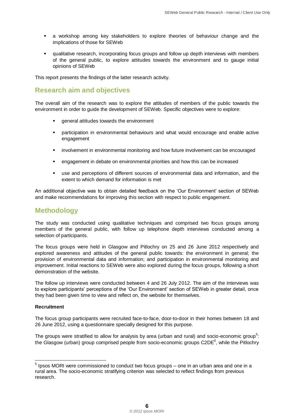- a workshop among key stakeholders to explore theories of behaviour change and the implications of those for SEWeb
- qualitative research, incorporating focus groups and follow up depth interviews with members of the general public, to explore attitudes towards the environment and to gauge initial opinions of SEWeb

This report presents the findings of the latter research activity.

## **Research aim and objectives**

The overall aim of the research was to explore the attitudes of members of the public towards the environment in order to guide the development of SEWeb. Specific objectives were to explore:

- general attitudes towards the environment
- participation in environmental behaviours and what would encourage and enable active engagement
- **·** involvement in environmental monitoring and how future involvement can be encouraged
- engagement in debate on environmental priorities and how this can be increased
- use and perceptions of different sources of environmental data and information, and the extent to which demand for information is met

An additional objective was to obtain detailed feedback on the "Our Environment" section of SEWeb and make recommendations for improving this section with respect to public engagement.

### <span id="page-9-0"></span>**Methodology**

The study was conducted using qualitative techniques and comprised two focus groups among members of the general public, with follow up telephone depth interviews conducted among a selection of participants.

The focus groups were held in Glasgow and Pitlochry on 25 and 26 June 2012 respectively and explored awareness and attitudes of the general public towards: the environment in general; the provision of environmental data and information; and participation in environmental monitoring and improvement. Initial reactions to SEWeb were also explored during the focus groups, following a short demonstration of the website.

The follow up interviews were conducted between 4 and 26 July 2012. The aim of the interviews was to explore participants" perceptions of the "Our Environment" section of SEWeb in greater detail, once they had been given time to view and reflect on, the website for themselves.

#### **Recruitment**

The focus group participants were recruited face-to-face, door-to-door in their homes between 18 and 26 June 2012, using a questionnaire specially designed for this purpose.

The groups were stratified to allow for analysis by area (urban and rural) and socio-economic group<sup>5</sup>: the Glasgow (urban) group comprised people from socio-economic groups C2DE $^6$ , while the Pitlochry

 5 Ipsos MORI were commissioned to conduct two focus groups – one in an urban area and one in a rural area. The socio-economic stratifying criterion was selected to reflect findings from previous research.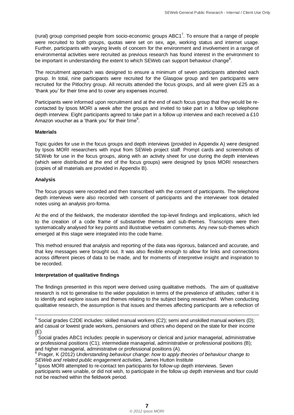(rural) group comprised people from socio-economic groups  $ABC1^7$ . To ensure that a range of people were recruited to both groups, quotas were set on sex, age, working status and internet usage. Further, participants with varying levels of concern for the environment and involvement in a range of environmental activities were recruited as previous research has found interest in the environment to be important in understanding the extent to which SEWeb can support behaviour change $^8$ .

The recruitment approach was designed to ensure a minimum of seven participants attended each group. In total, nine participants were recruited for the Glasgow group and ten participants were recruited for the Pitlochry group. All recruits attended the focus groups, and all were given £25 as a "thank you" for their time and to cover any expenses incurred.

Participants were informed upon recruitment and at the end of each focus group that they would be recontacted by Ipsos MORI a week after the groups and invited to take part in a follow up telephone depth interview. Eight participants agreed to take part in a follow up interview and each received a £10 Amazon voucher as a 'thank you' for their time $^9$ .

#### **Materials**

Topic guides for use in the focus groups and depth interviews (provided in Appendix A) were designed by Ipsos MORI researchers with input from SEWeb project staff. Prompt cards and screenshots of SEWeb for use in the focus groups, along with an activity sheet for use during the depth interviews (which were distributed at the end of the focus groups) were designed by Ipsos MORI researchers (copies of all materials are provided in Appendix B).

#### **Analysis**

The focus groups were recorded and then transcribed with the consent of participants. The telephone depth interviews were also recorded with consent of participants and the interviewer took detailed notes using an analysis pro-forma.

At the end of the fieldwork, the moderator identified the top-level findings and implications, which led to the creation of a code frame of substantive themes and sub-themes. Transcripts were then systematically analysed for key points and illustrative verbatim comments. Any new sub-themes which emerged at this stage were integrated into the code frame.

This method ensured that analysis and reporting of the data was rigorous, balanced and accurate, and that key messages were brought out. It was also flexible enough to allow for links and connections across different pieces of data to be made, and for moments of interpretive insight and inspiration to be recorded.

#### **Interpretation of qualitative findings**

The findings presented in this report were derived using qualitative methods. The aim of qualitative research is not to generalise to the wider population in terms of the prevalence of attitudes; rather it is to identify and explore issues and themes relating to the subject being researched. When conducting qualitative research, the assumption is that issues and themes affecting participants are a reflection of

 $\overline{a}$  $6$  Social grades C2DE includes: skilled manual workers (C2); semi and unskilled manual workers (D); and casual or lowest grade workers, pensioners and others who depend on the state for their income (E) 7

Social grades ABC1 includes: people in supervisory or clerical and junior managerial, administrative or professional positions (C1); intermediate managerial, administrative or professional positions (B); and higher managerial, administrative or professional positions (A).

<sup>8</sup> Prager, K (2012) *Understanding behaviour change: how to apply theories of behaviour change to SEWeb and related public engagement activities,* James Hutton Institute

<sup>&</sup>lt;sup>9</sup> Ipsos MORI attempted to re-contact ten participants for follow-up depth interviews. Seven participants were unable, or did not wish, to participate in the follow up depth interviews and four could not be reached within the fieldwork period.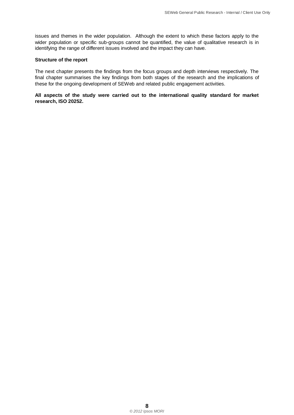issues and themes in the wider population. Although the extent to which these factors apply to the wider population or specific sub-groups cannot be quantified, the value of qualitative research is in identifying the range of different issues involved and the impact they can have.

#### **Structure of the report**

The next chapter presents the findings from the focus groups and depth interviews respectively. The final chapter summarises the key findings from both stages of the research and the implications of these for the ongoing development of SEWeb and related public engagement activities.

**All aspects of the study were carried out to the international quality standard for market research, ISO 20252.**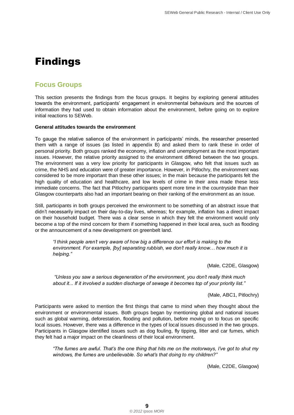## <span id="page-12-0"></span>Findings

## <span id="page-12-1"></span>**Focus Groups**

This section presents the findings from the focus groups. It begins by exploring general attitudes towards the environment, participants" engagement in environmental behaviours and the sources of information they had used to obtain information about the environment, before going on to explore initial reactions to SEWeb.

#### **General attitudes towards the environment**

To gauge the relative salience of the environment in participants" minds, the researcher presented them with a range of issues (as listed in appendix B) and asked them to rank these in order of personal priority. Both groups ranked the economy, inflation and unemployment as the most important issues. However, the relative priority assigned to the environment differed between the two groups. The environment was a very low priority for participants in Glasgow, who felt that issues such as crime, the NHS and education were of greater importance. However, in Pitlochry, the environment was considered to be more important than these other issues; in the main because the participants felt the high quality of education and healthcare, and low levels of crime in their area made these less immediate concerns. The fact that Pitlochry participants spent more time in the countryside than their Glasgow counterparts also had an important bearing on their ranking of the environment as an issue.

Still, participants in both groups perceived the environment to be something of an abstract issue that didn"t necessarily impact on their day-to-day lives, whereas; for example, inflation has a direct impact on their household budget. There was a clear sense in which they felt the environment would only become a top of the mind concern for them if something happened in their local area, such as flooding or the announcement of a new development on greenbelt land.

*"I think people aren't very aware of how big a difference our effort is making to the environment. For example, [by] separating rubbish, we don't really know… how much it is helping."*

(Male, C2DE, Glasgow)

*"Unless you saw a serious degeneration of the environment, you don't really think much about it... If it involved a sudden discharge of sewage it becomes top of your priority list."*

(Male, ABC1, Pitlochry)

Participants were asked to mention the first things that came to mind when they thought about the environment or environmental issues. Both groups began by mentioning global and national issues such as global warming, deforestation, flooding and pollution, before moving on to focus on specific local issues. However, there was a difference in the types of local issues discussed in the two groups. Participants in Glasgow identified issues such as dog fouling, fly tipping, litter and car fumes, which they felt had a major impact on the cleanliness of their local environment.

*"The fumes are awful. That's the one thing that hits me on the motorways, I've got to shut my windows, the fumes are unbelievable. So what's that doing to my children?"*

(Male, C2DE, Glasgow)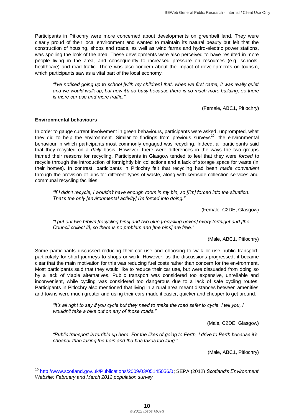Participants in Pitlochry were more concerned about developments on greenbelt land. They were clearly proud of their local environment and wanted to maintain its natural beauty but felt that the construction of housing, shops and roads, as well as wind farms and hydro-electric power stations, was spoiling the look of the area. These developments were also perceived to have resulted in more people living in the area, and consequently to increased pressure on resources (e.g. schools, healthcare) and road traffic. There was also concern about the impact of developments on tourism, which participants saw as a vital part of the local economy.

*"I've noticed going up to school [with my children] that, when we first came, it was really quiet and we would walk up, but now it's so busy because there is so much more building, so there is more car use and more traffic."*

(Female, ABC1, Pitlochry)

#### **Environmental behaviours**

 $\overline{a}$ 

In order to gauge current involvement in green behaviours, participants were asked, unprompted, what they did to help the environment. Similar to findings from previous surveys<sup>10</sup>, the environmental behaviour in which participants most commonly engaged was recycling. Indeed, all participants said that they recycled on a *daily* basis. However, there were differences in the ways the two groups framed their reasons for recycling. Participants in Glasgow tended to feel that they were *forced* to recycle through the introduction of fortnightly bin collections and a lack of storage space for waste (in their homes). In contrast, participants in Pitlochry felt that recycling had been *made convenient* through the provision of bins for different types of waste, along with kerbside collection services and communal recycling facilities.

*"If I didn't recycle, I wouldn't have enough room in my bin, so [I'm] forced into the situation. That's the only [environmental activity] I'm forced into doing."*

(Female, C2DE, Glasgow)

*"I put out two brown [recycling bins] and two blue [recycling boxes] every fortnight and [the Council collect it], so there is no problem and [the bins] are free."*

(Male, ABC1, Pitlochry)

Some participants discussed reducing their car use and choosing to walk or use public transport, particularly for short journeys to shops or work. However, as the discussions progressed, it became clear that the main motivation for this was reducing fuel costs rather than concern for the environment. Most participants said that they would like to reduce their car use, but were dissuaded from doing so by a lack of viable alternatives. Public transport was considered too expensive, unreliable and inconvenient, while cycling was considered too dangerous due to a lack of safe cycling routes. Participants in Pitlochry also mentioned that living in a rural area meant distances between amenities and towns were much greater and using their cars made it easier, quicker and cheaper to get around.

*"It's all right to say if you cycle but they need to make the road safer to cycle. I tell you, I wouldn't take a bike out on any of those roads."*

(Male, C2DE, Glasgow)

*"Public transport is terrible up here. For the likes of going to Perth, I drive to Perth because it's cheaper than taking the train and the bus takes too long."*

(Male, ABC1, Pitlochry)

<sup>10</sup> [http://www.scotland.gov.uk/Publications/2009/03/05145056/0;](http://www.scotland.gov.uk/Publications/2009/03/05145056/0) SEPA (2012) *Scotland's Environment Website: February and March 2012 population survey*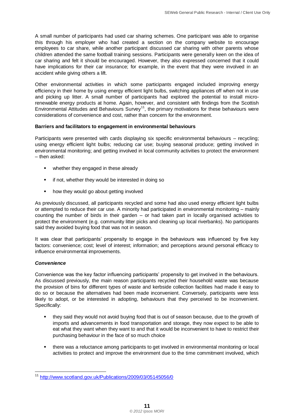A small number of participants had used car sharing schemes. One participant was able to organise this through his employer who had created a section on the company website to encourage employees to car share, while another participant discussed car sharing with other parents whose children attended the same football training sessions. Participants were generally keen on the idea of car sharing and felt it should be encouraged. However, they also expressed concerned that it could have implications for their car insurance; for example, in the event that they were involved in an accident while giving others a lift.

Other environmental activities in which some participants engaged included improving energy efficiency in their home by using energy efficient light bulbs, switching appliances off when not in use and picking up litter. A small number of participants had explored the potential to install microrenewable energy products at home. Again, however, and consistent with findings from the Scottish Environmental Attitudes and Behaviours Survey<sup>11</sup>, the primary motivations for these behaviours were considerations of convenience and cost, rather than concern for the environment.

#### **Barriers and facilitators to engagement in environmental behaviours**

Participants were presented with cards displaying six specific environmental behaviours – recycling; using energy efficient light bulbs; reducing car use; buying seasonal produce; getting involved in environmental monitoring; and getting involved in local community activities to protect the environment – then asked:

- whether they engaged in these already
- **F** if not, whether they would be interested in doing so
- **•** how they would go about getting involved

As previously discussed, all participants recycled and some had also used energy efficient light bulbs or attempted to reduce their car use. A minority had participated in environmental monitoring – mainly counting the number of birds in their garden – or had taken part in locally organised activities to protect the environment (e.g. community litter picks and cleaning up local riverbanks). No participants said they avoided buying food that was not in season.

It was clear that participants" propensity to engage in the behaviours was influenced by five key factors: convenience; cost; level of interest; information; and perceptions around personal efficacy to influence environmental improvements.

#### *Convenience*

Convenience was the key factor influencing participants" propensity to get involved in the behaviours. As discussed previously, the main reason participants recycled their household waste was because the provision of bins for different types of waste and kerbside collection facilities had made it easy to do so or because the alternatives had been made inconvenient. Conversely, participants were less likely to adopt, or be interested in adopting, behaviours that they perceived to be inconvenient. Specifically:

- they said they would not avoid buying food that is out of season because, due to the growth of imports and advancements in food transportation and storage, they now expect to be able to eat what they want when they want to and that it would be inconvenient to have to restrict their purchasing behaviour in the face of so much choice
- there was a reluctance among participants to get involved in environmental monitoring or local activities to protect and improve the environment due to the time commitment involved, which

 $\overline{\phantom{a}}$ <sup>11</sup> <http://www.scotland.gov.uk/Publications/2009/03/05145056/0>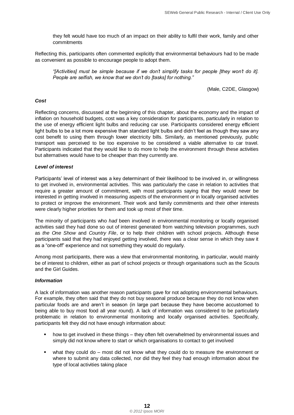they felt would have too much of an impact on their ability to fulfil their work, family and other commitments

Reflecting this, participants often commented explicitly that environmental behaviours had to be made as convenient as possible to encourage people to adopt them.

*"[Activities] must be simple because if we don't simplify tasks for people [they won't do it]. People are selfish, we know that we don't do [tasks] for nothing."*

(Male, C2DE, Glasgow)

#### *Cost*

Reflecting concerns, discussed at the beginning of this chapter, about the economy and the impact of inflation on household budgets, cost was a key consideration for participants, particularly in relation to the use of energy efficient light bulbs and reducing car use. Participants considered energy efficient light bulbs to be a lot more expensive than standard light bulbs and didn"t feel as though they saw any cost benefit to using them through lower electricity bills. Similarly, as mentioned previously, public transport was perceived to be too expensive to be considered a viable alternative to car travel. Participants indicated that they would like to do more to help the environment through these activities but alternatives would have to be cheaper than they currently are.

#### *Level of interest*

Participants' level of interest was a key determinant of their likelihood to be involved in, or willingness to get involved in, environmental activities. This was particularly the case in relation to activities that require a greater amount of commitment, with most participants saying that they would never be interested in getting involved in measuring aspects of the environment or in locally organised activities to protect or improve the environment. Their work and family commitments and their other interests were clearly higher priorities for them and took up most of their time.

The minority of participants who *had* been involved in environmental monitoring or locally organised activities said they had done so out of interest generated from watching television programmes, such as *the One Show* and *Country File*, or to help their children with school projects. Although these participants said that they had enjoyed getting involved, there was a clear sense in which they saw it as a "one-off" experience and not something they would do regularly.

Among most participants, there was a view that environmental monitoring, in particular, would mainly be of interest to children, either as part of school projects or through organisations such as the Scouts and the Girl Guides.

#### *Information*

A lack of information was another reason participants gave for not adopting environmental behaviours. For example, they often said that they do not buy seasonal produce because they do not know when particular foods are and aren't in season (in large part because they have become accustomed to being able to buy most food all year round). A lack of information was considered to be particularly problematic in relation to environmental monitoring and locally organised activities. Specifically, participants felt they did not have enough information about:

- **•** how to get involved in these things they often felt overwhelmed by environmental issues and simply did not know where to start or which organisations to contact to get involved
- what they could do most did not know what they could do to measure the environment or where to submit any data collected, nor did they feel they had enough information about the type of local activities taking place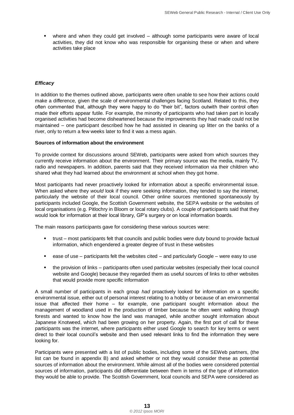where and when they could get involved – although some participants were aware of local activities, they did not know who was responsible for organising these or when and where activities take place

#### *Efficacy*

In addition to the themes outlined above, participants were often unable to see how their actions could make a difference, given the scale of environmental challenges facing Scotland. Related to this, they often commented that, although they were happy to do "their bit", factors outwith their control often made their efforts appear futile. For example, the minority of participants who had taken part in locally organised activities had become disheartened because the improvements they had made could not be maintained – one participant described how he had assisted in cleaning up litter on the banks of a river, only to return a few weeks later to find it was a mess again.

#### **Sources of information about the environment**

To provide context for discussions around SEWeb, participants were asked from which sources they currently receive information about the environment. Their primary source was the media, mainly TV, radio and newspapers. In addition, parents said that they received information via their children who shared what they had learned about the environment at school when they got home.

Most participants had never proactively looked for information about a specific environmental issue. When asked where they *would* look if they were seeking information, they tended to say the internet, particularly the website of their local council. Other online sources mentioned spontaneously by participants included Google, the Scottish Government website, the SEPA website or the websites of local organisations (e.g. Pitlochry in Bloom or local rotary clubs). A couple of participants said that they would look for information at their local library, GP"s surgery or on local information boards.

The main reasons participants gave for considering these various sources were:

- trust most participants felt that councils and public bodies were duty bound to provide factual information, which engendered a greater degree of trust in these websites
- ease of use participants felt the websites cited and particularly Google were easy to use
- the provision of links participants often used particular websites (especially their local council website and Google) because they regarded them as useful sources of links to other websites that would provide more specific information

A small number of participants in each group *had* proactively looked for information on a specific environmental issue, either out of personal interest relating to a hobby or because of an environmental issue that affected their home – for example, one participant sought information about the management of woodland used in the production of timber because he often went walking through forests and wanted to know how the land was managed, while another sought information about Japanese Knotweed, which had been growing on her property. Again, the first port of call for these participants was the internet, where participants either used Google to search for key terms or went direct to their local council"s website and then used relevant links to find the information they were looking for.

Participants were presented with a list of public bodies, including some of the SEWeb partners, (the list can be found in appendix B) and asked whether or not they would consider these as potential sources of information about the environment. While almost all of the bodies were considered potential sources of information, participants did differentiate between them in terms of the type of information they would be able to provide. The Scottish Government, local councils and SEPA were considered as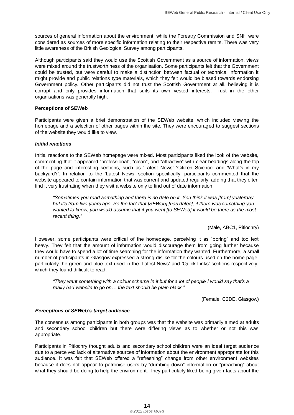sources of general information about the environment, while the Forestry Commission and SNH were considered as sources of more specific information relating to their respective remits. There was very little awareness of the British Geological Survey among participants.

Although participants said they would use the Scottish Government as a source of information, views were mixed around the trustworthiness of the organisation. Some participants felt that the Government could be trusted, but were careful to make a distinction between factual or technical information it might provide and public relations type materials, which they felt would be biased towards endorsing Government policy. Other participants did not trust the Scottish Government at all, believing it is corrupt and only provides information that suits its own vested interests. Trust in the other organisations was generally high.

#### **Perceptions of SEWeb**

Participants were given a brief demonstration of the SEWeb website, which included viewing the homepage and a selection of other pages within the site. They were encouraged to suggest sections of the website they would like to view.

#### *Initial reactions*

Initial reactions to the SEWeb homepage were mixed. Most participants liked the look of the website, commenting that it appeared "professional", "clean", and "attractive" with clear headings along the top of the page and interesting sections, such as "Latest News" "Citizen Science" and "What"s in my backyard?". In relation to the "Latest News" section specifically, participants commented that the website appeared to contain information that was current and updated regularly, adding that they often find it very frustrating when they visit a website only to find out of date information.

*"Sometimes you read something and there is no date on it. You think it was [from] yesterday but it's from two years ago. So the fact that [SEWeb] [has dates], if there was something you wanted to know, you would assume that if you went [to SEWeb] it would be there as the most recent thing."*

(Male, ABC1, Pitlochry)

However, some participants were critical of the homepage, perceiving it as "boring" and too text heavy. They felt that the amount of information would discourage them from going further because they would have to spend a lot of time searching for the information they wanted. Furthermore, a small number of participants in Glasgow expressed a strong dislike for the colours used on the home page, particularly the green and blue text used in the "Latest News" and "Quick Links" sections respectively, which they found difficult to read.

*"They want something with a colour scheme in it but for a lot of people I would say that's a really bad website to go on… the text should be plain black."*

(Female, C2DE, Glasgow)

#### *Perceptions of SEWeb's target audience*

The consensus among participants in both groups was that the website was primarily aimed at adults and secondary school children but there were differing views as to whether or not this was appropriate.

Participants in Pitlochry thought adults and secondary school children were an ideal target audience due to a perceived lack of alternative sources of information about the environment appropriate for this audience. It was felt that SEWeb offered a "refreshing" change from other environment websites because it does not appear to patronise users by "dumbing down" information or "preaching" about what they should be doing to help the environment. They particularly liked being given facts about the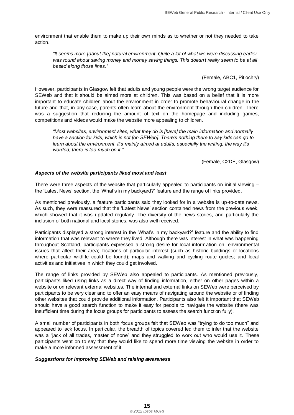environment that enable them to make up their own minds as to whether or not they needed to take action.

*"It seems more [about the] natural environment. Quite a lot of what we were discussing earlier*  was round about saving money and money saving things. This doesn't really seem to be at all *based along those lines."*

(Female, ABC1, Pitlochry)

However, participants in Glasgow felt that adults and young people were the wrong target audience for SEWeb and that it should be aimed more at children. This was based on a belief that it is more important to educate children about the environment in order to promote behavioural change in the future and that, in any case, parents often learn about the environment through their children. There was a suggestion that reducing the amount of text on the homepage and including games, competitions and videos would make the website more appealing to children.

*"Most websites, environment sites, what they do is [have] the main information and normally have a section for kids, which is not [on SEWeb]. There's nothing there to say kids can go to learn about the environment. It's mainly aimed at adults, especially the writing, the way it's worded; there is too much on it."*

(Female, C2DE, Glasgow)

#### *Aspects of the website participants liked most and least*

There were three aspects of the website that particularly appealed to participants on initial viewing – the "Latest News" section, the "What"s in my backyard?" feature and the range of links provided.

As mentioned previously, a feature participants said they looked for in a website is up-to-date news. As such, they were reassured that the "Latest News" section contained news from the previous week, which showed that it was updated regularly. The diversity of the news stories, and particularly the inclusion of both national and local stories, was also well received.

Participants displayed a strong interest in the 'What's in my backyard?' feature and the ability to find information that was relevant to where they lived. Although there was interest in what was happening throughout Scotland, participants expressed a strong desire for local information on: environmental issues that affect their area; locations of particular interest (such as historic buildings or locations where particular wildlife could be found); maps and walking and cycling route guides; and local activities and initiatives in which they could get involved.

The range of links provided by SEWeb also appealed to participants. As mentioned previously, participants liked using links as a direct way of finding information, either on other pages within a website or on relevant external websites. The internal and external links on SEWeb were perceived by participants to be very clear and to offer an easy means of navigating around the website or of finding other websites that could provide additional information. Participants also felt it important that SEWeb should have a good search function to make it easy for people to navigate the website (there was insufficient time during the focus groups for participants to assess the search function fully).

A small number of participants in both focus groups felt that SEWeb was "trying to do too much" and appeared to lack focus. In particular, the breadth of topics covered led them to infer that the website was a "jack of all trades, master of none" and they struggled to work out who would use it. These participants went on to say that they would like to spend more time viewing the website in order to make a more informed assessment of it.

#### *Suggestions for improving SEWeb and raising awareness*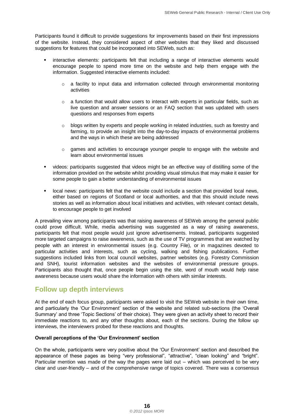Participants found it difficult to provide suggestions for improvements based on their first impressions of the website. Instead, they considered aspect of other websites that they liked and discussed suggestions for features that could be incorporated into SEWeb, such as:

- interactive elements: participants felt that including a range of interactive elements would encourage people to spend more time on the website and help them engage with the information. Suggested interactive elements included:
	- $\circ$  a facility to input data and information collected through environmental monitoring activities
	- $\circ$  a function that would allow users to interact with experts in particular fields, such as live question and answer sessions or an FAQ section that was updated with users questions and responses from experts
	- $\circ$  blogs written by experts and people working in related industries, such as forestry and farming, to provide an insight into the day-to-day impacts of environmental problems and the ways in which these are being addressed
	- $\circ$  games and activities to encourage younger people to engage with the website and learn about environmental issues
- videos: participants suggested that videos might be an effective way of distilling some of the information provided on the website whilst providing visual stimulus that may make it easier for some people to gain a better understanding of environmental issues
- **•** local news: participants felt that the website could include a section that provided local news, either based on regions of Scotland or local authorities, and that this should include news stories as well as information about local initiatives and activities, with relevant contact details, to encourage people to get involved

A prevailing view among participants was that raising awareness of SEWeb among the general public could prove difficult. While, media advertising was suggested as a way of raising awareness, participants felt that most people would just ignore advertisements. Instead, participants suggested more targeted campaigns to raise awareness, such as the use of TV programmes that are watched by people with an interest in environmental issues (e.g. Country File), or in magazines devoted to particular activities and interests, such as cycling, walking and fishing publications. Further suggestions included links from local council websites, partner websites (e.g. Forestry Commission and SNH), tourist information websites and the websites of environmental pressure groups. Participants also thought that, once people begin using the site, word of mouth would help raise awareness because users would share the information with others with similar interests.

### <span id="page-19-0"></span>**Follow up depth interviews**

At the end of each focus group, participants were asked to visit the SEWeb website in their own time, and particularly the "Our Environment" section of the website and related sub-sections (the "Overall Summary" and three "Topic Sections" of their choice). They were given an activity sheet to record their immediate reactions to, and any other thoughts about, each of the sections. During the follow up interviews, the interviewers probed for these reactions and thoughts.

#### **Overall perceptions of the 'Our Environment' section**

On the whole, participants were very positive about the "Our Environment" section and described the appearance of these pages as being "very professional", "attractive", "clean looking" and "bright". Particular mention was made of the way the pages were laid out – which was perceived to be very clear and user-friendly – and of the comprehensive range of topics covered. There was a consensus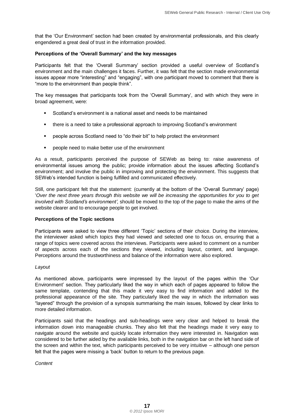that the "Our Environment" section had been created by environmental professionals, and this clearly engendered a great deal of trust in the information provided.

#### **Perceptions of the 'Overall Summary' and the key messages**

Participants felt that the "Overall Summary" section provided a useful overview of Scotland"s environment and the main challenges it faces. Further, it was felt that the section made environmental issues appear more "interesting" and "engaging", with one participant moved to comment that there is "more to the environment than people think".

The key messages that participants took from the "Overall Summary", and with which they were in broad agreement, were:

- Scotland"s environment is a national asset and needs to be maintained
- there is a need to take a professional approach to improving Scotland"s environment
- people across Scotland need to "do their bit" to help protect the environment
- **PEOPLE 20 FOR 10 FOR 10 FOR 10 FOR 10 FOR 10 FOR 10 FOR 10 FOR 10 FOR 10 FOR 10 FOR 10 FOR 10 FOR 10 FOR 10 FOR 10 FOR 10 FOR 10 FOR 10 FOR 10 FOR 10 FOR 10 FOR 10 FOR 10 FOR 10 FOR 10 FOR 10 FOR 10 FOR 10 FOR 10 FOR 10 F**

As a result, participants perceived the purpose of SEWeb as being to: raise awareness of environmental issues among the public; provide information about the issues affecting Scotland"s environment; and involve the public in improving and protecting the environment. This suggests that SEWeb"s intended function is being fulfilled and communicated effectively.

Still, one participant felt that the statement: (currently at the bottom of the "Overall Summary" page) "*Over the next three years through this website we will be increasing the opportunities for you to get involved with Scotland's environment'*, should be moved to the top of the page to make the aims of the website clearer and to encourage people to get involved.

#### **Perceptions of the Topic sections**

Participants were asked to view three different "Topic" sections of their choice. During the interview, the interviewer asked which topics they had viewed and selected one to focus on, ensuring that a range of topics were covered across the interviews. Participants were asked to comment on a number of aspects across each of the sections they viewed, including layout, content, and language. Perceptions around the trustworthiness and balance of the information were also explored.

#### *Layout*

As mentioned above, participants were impressed by the layout of the pages within the "Our Environment" section. They particularly liked the way in which each of pages appeared to follow the same template, contending that this made it very easy to find information and added to the professional appearance of the site. They particularly liked the way in which the information was "layered" through the provision of a synopsis summarising the main issues, followed by clear links to more detailed information.

Participants said that the headings and sub-headings were very clear and helped to break the information down into manageable chunks. They also felt that the headings made it very easy to navigate around the website and quickly locate information they were interested in. Navigation was considered to be further aided by the available links, both in the navigation bar on the left hand side of the screen and within the text, which participants perceived to be very intuitive – although one person felt that the pages were missing a "back" button to return to the previous page.

*Content*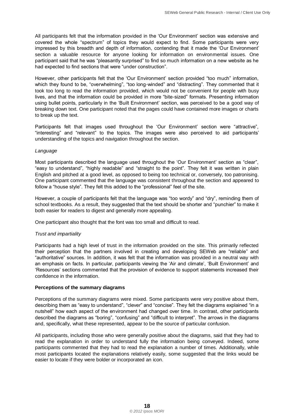All participants felt that the information provided in the "Our Environment" section was extensive and covered the whole "spectrum" of topics they would expect to find. Some participants were very impressed by this breadth and depth of information, contending that it made the "Our Environment" section a valuable resource for anyone looking for information on environmental issues. One participant said that he was "pleasantly surprised" to find so much information on a new website as he had expected to find sections that were "under construction".

However, other participants felt that the "Our Environment" section provided "too much" information, which they found to be, "overwhelming", "too long-winded" and "distracting". They commented that it took too long to read the information provided, which would not be convenient for people with busy lives, and that the information could be provided in more "bite-sized" formats. Presenting information using bullet points, particularly in the "Built Environment" section, was perceived to be a good way of breaking down text. One participant noted that the pages could have contained more images or charts to break up the text.

Participants felt that images used throughout the 'Our Environment' section were "attractive", "interesting" and "relevant" to the topics. The images were also perceived to aid participants" understanding of the topics and navigation throughout the section.

#### *Language*

Most participants described the language used throughout the "Our Environment" section as "clear", "easy to understand", "highly readable" and "straight to the point". They felt it was written in plain English and pitched at a good level, as opposed to being too technical or, conversely, too patronising. One participant commented that the language was consistent throughout the section and appeared to follow a "house style". They felt this added to the "professional" feel of the site.

However, a couple of participants felt that the language was "too wordy" and "dry", reminding them of school textbooks. As a result, they suggested that the text should be shorter and "punchier" to make it both easier for readers to digest and generally more appealing.

One participant also thought that the font was too small and difficult to read.

#### *Trust and impartiality*

Participants had a high level of trust in the information provided on the site. This primarily reflected their perception that the partners involved in creating and developing SEWeb are "reliable" and "authoritative" sources. In addition, it was felt that the information was provided in a neutral way with an emphasis on facts. In particular, participants viewing the "Air and climate", "Built Environment" and 'Resources' sections commented that the provision of evidence to support statements increased their confidence in the information.

#### **Perceptions of the summary diagrams**

Perceptions of the summary diagrams were mixed. Some participants were very positive about them, describing them as "easy to understand", "clever" and "concise". They felt the diagrams explained "in a nutshell" how each aspect of the environment had changed over time. In contrast, other participants described the diagrams as "boring", "confusing" and "difficult to interpret". The arrows in the diagrams and, specifically, what these represented, appear to be the source of particular confusion.

All participants, including those who were generally positive about the diagrams, said that they had to read the explanation in order to understand fully the information being conveyed. Indeed, some participants commented that they had to read the explanation a number of times. Additionally, while most participants located the explanations relatively easily, some suggested that the links would be easier to locate if they were bolder or incorporated an icon.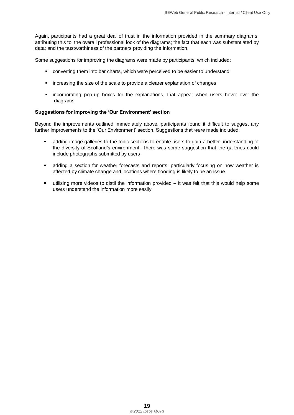Again, participants had a great deal of trust in the information provided in the summary diagrams, attributing this to: the overall professional look of the diagrams; the fact that each was substantiated by data; and the trustworthiness of the partners providing the information.

Some suggestions for improving the diagrams were made by participants, which included:

- converting them into bar charts, which were perceived to be easier to understand
- **EXEDERITH** increasing the size of the scale to provide a clearer explanation of changes
- **Exercise incorporating pop-up boxes for the explanations, that appear when users hover over the** diagrams

#### **Suggestions for improving the 'Our Environment' section**

Beyond the improvements outlined immediately above, participants found it difficult to suggest any further improvements to the "Our Environment" section. Suggestions that *were* made included:

- adding image galleries to the topic sections to enable users to gain a better understanding of the diversity of Scotland"s environment. There was some suggestion that the galleries could include photographs submitted by users
- adding a section for weather forecasts and reports, particularly focusing on how weather is affected by climate change and locations where flooding is likely to be an issue
- utilising more videos to distil the information provided it was felt that this would help some users understand the information more easily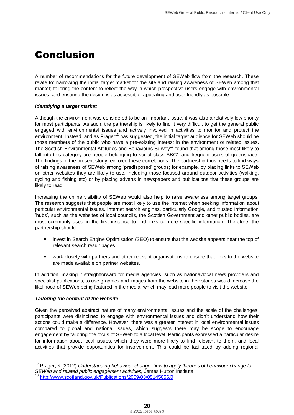## <span id="page-23-0"></span>Conclusion

A number of recommendations for the future development of SEWeb flow from the research. These relate to: narrowing the initial target market for the site and raising awareness of SEWeb among that market; tailoring the content to reflect the way in which prospective users engage with environmental issues; and ensuring the design is as accessible, appealing and user-friendly as possible.

#### *Identifying a target market*

Although the environment was considered to be an important issue, it was also a relatively low priority for most participants. As such, the partnership is likely to find it very difficult to get the general public engaged with environmental issues and actively involved in activities to monitor and protect the environment. Instead, and as Prager<sup>12</sup> has suggested, the initial target audience for SEWeb should be those members of the public who have a pre-existing interest in the environment or related issues. The Scottish Environmental Attitudes and Behaviours Survey<sup>13</sup> found that among those most likely to fall into this category are people belonging to social class ABC1 and frequent users of greenspace. The findings of the present study reinforce these correlations. The partnership thus needs to find ways of raising awareness of SEWeb among "predisposed" groups; for example, by placing links to SEWeb on other websites they are likely to use, including those focused around outdoor activities (walking, cycling and fishing etc) or by placing adverts in newspapers and publications that these groups are likely to read.

Increasing the online visibility of SEWeb would also help to raise awareness among target groups. The research suggests that people are most likely to use the internet when seeking information about particular environmental issues. Internet search engines, particularly Google, and trusted information "hubs", such as the websites of local councils, the Scottish Government and other public bodies, are most commonly used in the first instance to find links to more specific information. Therefore, the partnership should:

- **•** invest in Search Engine Optimisation (SEO) to ensure that the website appears near the top of relevant search result pages
- work closely with partners and other relevant organisations to ensure that links to the website are made available on partner websites.

In addition, making it straightforward for media agencies, such as national/local news providers and specialist publications, to use graphics and images from the website in their stories would increase the likelihood of SEWeb being featured in the media, which may lead more people to visit the website.

#### *Tailoring the content of the website*

 $\overline{1}$ 

Given the perceived abstract nature of many environmental issues and the scale of the challenges, participants were disinclined to engage with environmental issues and didn"t understand how their actions could make a difference. However, there was a greater interest in local environmental issues compared to global and national issues, which suggests there may be scope to encourage engagement by tailoring the focus of SEWeb to a local level. Participants expressed a particular desire for information about local issues, which they were more likely to find relevant to them, and local activities that provide opportunities for involvement. This could be facilitated by adding regional

<sup>&</sup>lt;sup>12</sup> Prager, K (2012) *Understanding behaviour change: how to apply theories of behaviour change to SEWeb and related public engagement activities,* James Hutton Institute

<http://www.scotland.gov.uk/Publications/2009/03/05145056/0>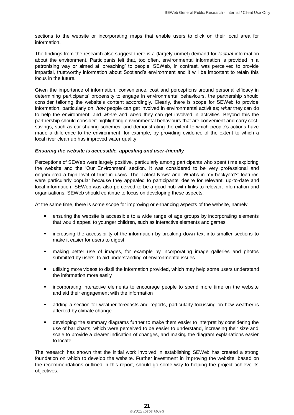sections to the website or incorporating maps that enable users to click on their local area for information.

The findings from the research also suggest there is a (largely unmet) demand for *factual* information about the environment. Participants felt that, too often, environmental information is provided in a patronising way or aimed at "preaching" to people. SEWeb, in contrast, was perceived to provide impartial, trustworthy information about Scotland"s environment and it will be important to retain this focus in the future.

Given the importance of information, convenience, cost and perceptions around personal efficacy in determining participants" propensity to engage in environmental behaviours, the partnership should consider tailoring the website's content accordingly. Clearly, there is scope for SEWeb to provide information, particularly on: *how* people can get involved in environmental activities; *what* they can do to help the environment; and *where* and *when* they can get involved in activities. Beyond this the partnership should consider: highlighting environmental behaviours that are convenient and carry costsavings, such as car-sharing schemes; and demonstrating the extent to which people"s actions have made a difference to the environment, for example, by providing evidence of the extent to which a local river clean up has improved water quality

#### *Ensuring the website is accessible, appealing and user-friendly*

Perceptions of SEWeb were largely positive, particularly among participants who spent time exploring the website and the "Our Environment" section. It was considered to be very professional and engendered a high level of trust in users. The 'Latest News' and 'What's in my backyard?' features were particularly popular because they appealed to participants" desire for relevant, up-to-date and local information. SEWeb was also perceived to be a good hub with links to relevant information and organisations. SEWeb should continue to focus on developing these aspects.

At the same time, there is some scope for improving or enhancing aspects of the website, namely:

- ensuring the website is accessible to a wide range of age groups by incorporating elements that would appeal to younger children, such as interactive elements and games
- **EXEC** increasing the accessibility of the information by breaking down text into smaller sections to make it easier for users to digest
- making better use of images, for example by incorporating image galleries and photos submitted by users, to aid understanding of environmental issues
- utilising more videos to distil the information provided, which may help some users understand the information more easily
- **EXED** incorporating interactive elements to encourage people to spend more time on the website and aid their engagement with the information
- adding a section for weather forecasts and reports, particularly focussing on how weather is affected by climate change
- developing the summary diagrams further to make them easier to interpret by considering the use of bar charts, which were perceived to be easier to understand, increasing their size and scale to provide a clearer indication of changes, and making the diagram explanations easier to locate

The research has shown that the initial work involved in establishing SEWeb has created a strong foundation on which to develop the website. Further investment in improving the website, based on the recommendations outlined in this report, should go some way to helping the project achieve its objectives.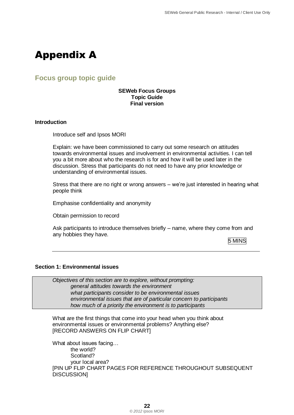## <span id="page-25-0"></span>Appendix A

### <span id="page-25-1"></span>**Focus group topic guide**

#### **SEWeb Focus Groups Topic Guide Final version**

#### **Introduction**

Introduce self and Ipsos MORI

Explain: we have been commissioned to carry out some research on attitudes towards environmental issues and involvement in environmental activities. I can tell you a bit more about who the research is for and how it will be used later in the discussion. Stress that participants do not need to have any prior knowledge or understanding of environmental issues.

Stress that there are no right or wrong answers – we're just interested in hearing what people think

Emphasise confidentiality and anonymity

Obtain permission to record

Ask participants to introduce themselves briefly – name, where they come from and any hobbies they have.

5 MINS

#### **Section 1: Environmental issues**

*Objectives of this section are to explore, without prompting: general attitudes towards the environment what participants consider to be environmental issues environmental issues that are of particular concern to participants how much of a priority the environment is to participants*

What are the first things that come into your head when you think about environmental issues or environmental problems? Anything else? [RECORD ANSWERS ON FLIP CHART]

What about issues facing… the world? Scotland? your local area? [PIN UP FLIP CHART PAGES FOR REFERENCE THROUGHOUT SUBSEQUENT DISCUSSION]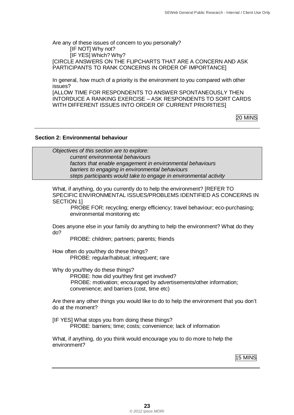Are any of these issues of concern to you personally? [IF NOT] Why not? [IF YES] Which? Why? [CIRCLE ANSWERS ON THE FLIPCHARTS THAT ARE A CONCERN AND ASK PARTICIPANTS TO RANK CONCERNS IN ORDER OF IMPORTANCE]

In general, how much of a priority is the environment to you compared with other issues?

[ALLOW TIME FOR RESPONDENTS TO ANSWER SPONTANEOUSLY THEN INTORDUCE A RANKING EXERCISE – ASK RESPONDENTS TO SORT CARDS WITH DIFFERENT ISSUES INTO ORDER OF CURRENT PRIORITIES]

20 MINS

#### **Section 2: Environmental behaviour**

*Objectives of this section are to explore: current environmental behaviours factors that enable engagement in environmental behaviours barriers to engaging in environmental behaviours steps participants would take to engage in environmental activity* 

What, if anything, do you currently do to help the environment? [REFER TO SPECIFIC ENVIRONMENTAL ISSUES/PROBLEMS IDENTIFIED AS CONCERNS IN SECTION 1]

PROBE FOR: recycling; energy efficiency; travel behaviour; eco-purchasing; environmental monitoring etc

Does anyone else in your family do anything to help the environment? What do they do?

PROBE: children; partners; parents; friends

How often do you/they do these things? PROBE: regular/habitual; infrequent; rare

Why do you/they do these things?

PROBE: how did you/they first get involved? PROBE: motivation; encouraged by advertisements/other information; convenience; and barriers (cost, time etc)

Are there any other things you would like to do to help the environment that you don"t do at the moment?

[IF YES] What stops you from doing these things? PROBE: barriers; time; costs; convenience; lack of information

What, if anything, do you think would encourage you to do more to help the environment?

15 MINS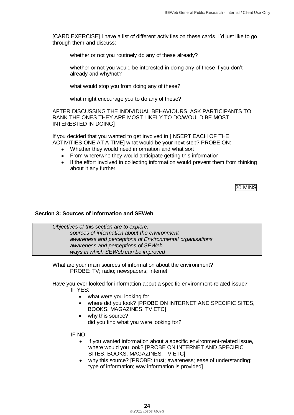[CARD EXERCISE] I have a list of different activities on these cards. I"d just like to go through them and discuss:

whether or not you routinely do any of these already?

whether or not you would be interested in doing any of these if you don"t already and why/not?

what would stop you from doing any of these?

what might encourage you to do any of these?

AFTER DISCUSSING THE INDIVIDUAL BEHAVIOURS, ASK PARTICIPANTS TO RANK THE ONES THEY ARE MOST LIKELY TO DO/WOULD BE MOST INTERESTED IN DOING]

If you decided that you wanted to get involved in [INSERT EACH OF THE ACTIVITIES ONE AT A TIME] what would be your next step? PROBE ON:

- Whether they would need information and what sort
- From where/who they would anticipate getting this information
- If the effort involved in collecting information would prevent them from thinking about it any further.

20 MINS

#### **Section 3: Sources of information and SEWeb**

*Objectives of this section are to explore: sources of information about the environment awareness and perceptions of Environmental organisations awareness and perceptions of SEWeb ways in which SEWeb can be improved*

What are your main sources of information about the environment? PROBE: TV; radio; newspapers; internet

Have you ever looked for information about a specific environment-related issue? IF YES:

- what were you looking for
- where did you look? [PROBE ON INTERNET AND SPECIFIC SITES, BOOKS, MAGAZINES, TV ETC]
- why this source? did you find what you were looking for?

IF NO:

- if you wanted information about a specific environment-related issue, where would you look? [PROBE ON INTERNET AND SPECIFIC SITES, BOOKS, MAGAZINES, TV ETC]
- why this source? [PROBE: trust; awareness; ease of understanding; type of information; way information is provided]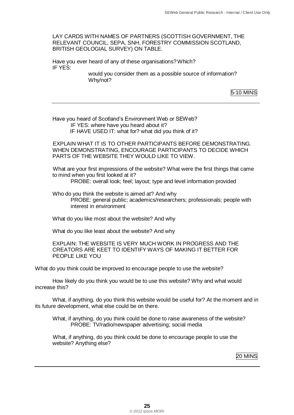LAY CARDS WITH NAMES OF PARTNERS (SCOTTISH GOVERNMENT, THE RELEVANT COUNCIL, SEPA, SNH, FORESTRY COMMISSION SCOTLAND, BRITISH GEOLOGIAL SURVEY) ON TABLE.

Have you ever heard of any of these organisations?Which? IF YES:

would you consider them as a possible source of information? Why/not?

5-10 MINS

Have you heard of Scotland"s Environment Web or SEWeb? IF YES: where have you heard about it? IF HAVE USED IT: what for? what did you think of it?

EXPLAIN WHAT IT IS TO OTHER PARTICIPANTS BEFORE DEMONSTRATING. WHEN DEMONSTRATING, ENCOURAGE PARTICIPANTS TO DECIDE WHICH PARTS OF THE WEBSITE THEY WOULD LIKE TO VIEW.

What are your first impressions of the website? What were the first things that came to mind when you first looked at it? PROBE: overall look; feel; layout; type and level information provided

Who do you think the website is aimed at? And why PROBE: general public; academics/researchers; professionals; people with interest in environment

What do you like most about the website? And why

What do you like least about the website? And why

EXPLAIN: THE WEBSITE IS VERY MUCH WORK IN PROGRESS AND THE CREATORS ARE KEET TO IDENTIFY WAYS OF MAKING IT BETTER FOR PEOPLE LIKE YOU

What do you think could be improved to encourage people to use the website?

How likely do you think you would be to use this website? Why and what would increase this?

What, if anything, do you think this website would be useful for? At the moment and in its future development, what else could be on there.

What, if anything, do you think could be done to raise awareness of the website? PROBE: TV/radio/newspaper advertising; social media

What, if anything, do you think could be done to encourage people to use the website? Anything else?

20 MINS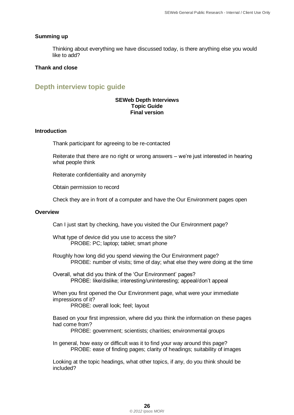#### **Summing up**

Thinking about everything we have discussed today, is there anything else you would like to add?

#### **Thank and close**

## <span id="page-29-0"></span>**Depth interview topic guide**

#### **SEWeb Depth Interviews Topic Guide Final version**

#### **Introduction**

Thank participant for agreeing to be re-contacted

Reiterate that there are no right or wrong answers – we"re just interested in hearing what people think

Reiterate confidentiality and anonymity

Obtain permission to record

Check they are in front of a computer and have the Our Environment pages open

#### **Overview**

Can I just start by checking, have you visited the Our Environment page?

What type of device did you use to access the site? PROBE: PC; laptop; tablet; smart phone

Roughly how long did you spend viewing the Our Environment page? PROBE: number of visits; time of day; what else they were doing at the time

Overall, what did you think of the "Our Environment" pages? PROBE: like/dislike; interesting/uninteresting; appeal/don"t appeal

When you first opened the Our Environment page, what were your immediate impressions of it? PROBE: overall look; feel; layout

Based on your first impression, where did you think the information on these pages had come from?

PROBE: government; scientists; charities; environmental groups

In general, how easy or difficult was it to find your way around this page? PROBE: ease of finding pages; clarity of headings; suitability of images

Looking at the topic headings, what other topics, if any, do you think should be included?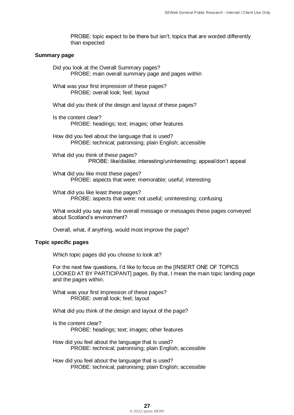PROBE: topic expect to be there but isn't; topics that are worded differently than expected

#### **Summary page**

Did you look at the Overall Summary pages? PROBE: main overall summary page and pages within

What was your first impression of these pages? PROBE: overall look; feel; layout

What did you think of the design and layout of these pages?

Is the content clear? PROBE: headings; text; images; other features

How did you feel about the language that is used? PROBE: technical; patronising; plain English; accessible

What did you think of these pages? PROBE: like/dislike; interesting/uninteresting; appeal/don"t appeal

What did you like most these pages? PROBE: aspects that were: memorable; useful; interesting

What did you like least these pages? PROBE: aspects that were: not useful; uninteresting; confusing

What would you say was the overall message or messages these pages conveyed about Scotland"s environment?

Overall, what, if anything, would most improve the page?

#### **Topic specific pages**

Which topic pages did you choose to look at?

For the next few questions, I"d like to focus on the [INSERT ONE OF TOPICS LOOKED AT BY PARTICIPANT] pages. By that, I mean the main topic landing page and the pages within.

What was your first impression of these pages? PROBE: overall look; feel; layout

What did you think of the design and layout of the page?

Is the content clear? PROBE: headings; text; images; other features

How did you feel about the language that is used? PROBE: technical; patronising; plain English; accessible

How did you feel about the language that is used? PROBE: technical; patronising; plain English; accessible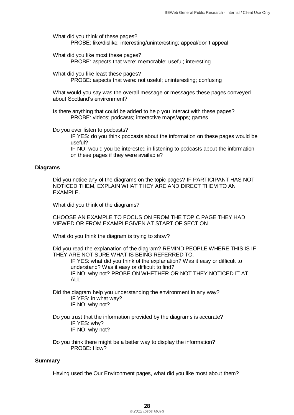What did you think of these pages? PROBE: like/dislike; interesting/uninteresting; appeal/don"t appeal

What did you like most these pages? PROBE: aspects that were: memorable; useful; interesting

What did you like least these pages?

PROBE: aspects that were: not useful; uninteresting; confusing

What would you say was the overall message or messages these pages conveyed about Scotland"s environment?

Is there anything that could be added to help you interact with these pages? PROBE: videos; podcasts; interactive maps/apps; games

Do you ever listen to podcasts?

IF YES: do you think podcasts about the information on these pages would be useful?

IF NO: would you be interested in listening to podcasts about the information on these pages if they were available?

#### **Diagrams**

Did you notice any of the diagrams on the topic pages? IF PARTICIPANT HAS NOT NOTICED THEM, EXPLAIN WHAT THEY ARE AND DIRECT THEM TO AN EXAMPLE.

What did you think of the diagrams?

CHOOSE AN EXAMPLE TO FOCUS ON FROM THE TOPIC PAGE THEY HAD VIEWED OR FROM EXAMPLEGIVEN AT START OF SECTION

What do you think the diagram is trying to show?

Did you read the explanation of the diagram? REMIND PEOPLE WHERE THIS IS IF THEY ARE NOT SURE WHAT IS BEING REFERRED TO.

IF YES: what did you think of the explanation? Was it easy or difficult to understand? Was it easy or difficult to find? IF NO: why not? PROBE ON WHETHER OR NOT THEY NOTICED IT AT ALL

Did the diagram help you understanding the environment in any way? IF YES: in what way? IF NO: why not?

Do you trust that the information provided by the diagrams is accurate? IF YES: why? IF NO: why not?

Do you think there might be a better way to display the information? PROBE: How?

#### **Summary**

Having used the Our Environment pages, what did you like most about them?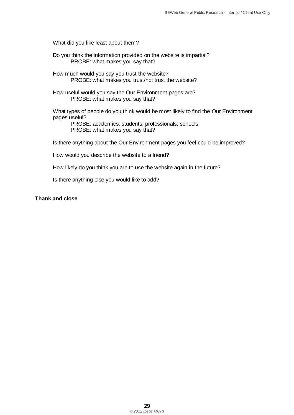What did you like least about them?

- Do you think the information provided on the website is impartial? PROBE: what makes you say that?
- How much would you say you trust the website? PROBE: what makes you trust/not trust the website?
- How useful would you say the Our Environment pages are? PROBE: what makes you say that?

What types of people do you think would be most likely to find the Our Environment pages useful?

PROBE: academics; students; professionals; schools; PROBE: what makes you say that?

Is there anything about the Our Environment pages you feel could be improved?

How would you describe the website to a friend?

How likely do you think you are to use the website again in the future?

Is there anything else you would like to add?

#### **Thank and close**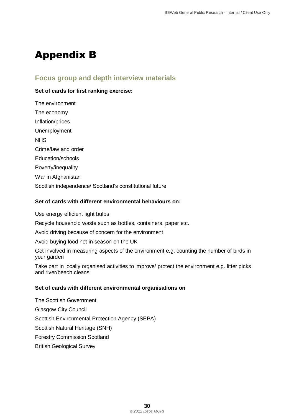## <span id="page-33-0"></span>Appendix B

### **Focus group and depth interview materials**

#### **Set of cards for first ranking exercise:**

The environment The economy Inflation/prices Unemployment **NHS** Crime/law and order Education/schools Poverty/inequality War in Afghanistan Scottish independence/ Scotland"s constitutional future

#### **Set of cards with different environmental behaviours on:**

Use energy efficient light bulbs

Recycle household waste such as bottles, containers, paper etc.

Avoid driving because of concern for the environment

Avoid buying food not in season on the UK

Get involved in measuring aspects of the environment e.g. counting the number of birds in your garden

Take part in locally organised activities to improve/ protect the environment e.g. litter picks and river/beach cleans

#### **Set of cards with different environmental organisations on**

The Scottish Government Glasgow City Council Scottish Environmental Protection Agency (SEPA) Scottish Natural Heritage (SNH) Forestry Commission Scotland British Geological Survey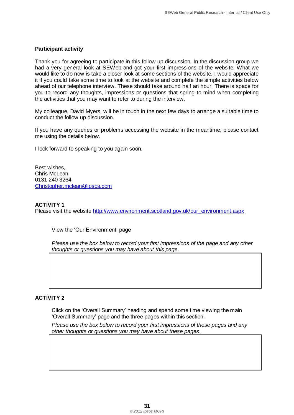#### **Participant activity**

Thank you for agreeing to participate in this follow up discussion. In the discussion group we had a very general look at SEWeb and got your first impressions of the website. What we would like to do now is take a closer look at some sections of the website. I would appreciate it if you could take some time to look at the website and complete the simple activities below ahead of our telephone interview. These should take around half an hour. There is space for you to record any thoughts, impressions or questions that spring to mind when completing the activities that you may want to refer to during the interview.

My colleague, David Myers, will be in touch in the next few days to arrange a suitable time to conduct the follow up discussion.

If you have any queries or problems accessing the website in the meantime, please contact me using the details below.

I look forward to speaking to you again soon.

Best wishes, Chris McLean 0131 240 3264 [Christopher.mclean@ipsos.com](mailto:Christopher.mclean@ipsos.com)

#### **ACTIVITY 1**

Please visit the website [http://www.environment.scotland.gov.uk/our\\_environment.aspx](http://www.environment.scotland.gov.uk/our_environment.aspx)

View the "Our Environment" page

*Please use the box below to record your first impressions of the page and any other thoughts or questions you may have about this page*.

#### **ACTIVITY 2**

Click on the "Overall Summary" heading and spend some time viewing the main "Overall Summary" page and the three pages within this section.

*Please use the box below to record your first impressions of these pages and any other thoughts or questions you may have about these pages*.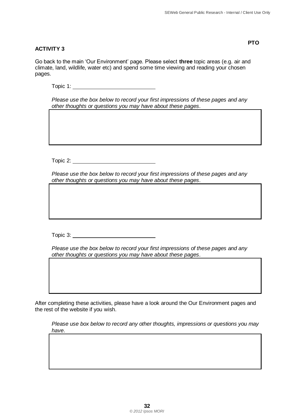**PTO**

#### **ACTIVITY 3**

Go back to the main "Our Environment" page. Please select **three** topic areas (e.g. air and climate, land, wildlife, water etc) and spend some time viewing and reading your chosen pages.

Topic 1:

*Please use the box below to record your first impressions of these pages and any other thoughts or questions you may have about these pages*.

Topic 2:

*Please use the box below to record your first impressions of these pages and any other thoughts or questions you may have about these pages*.

Topic 3:

*Please use the box below to record your first impressions of these pages and any other thoughts or questions you may have about these pages*.

After completing these activities, please have a look around the Our Environment pages and the rest of the website if you wish.

*Please use box below to record any other thoughts, impressions or questions you may have*.